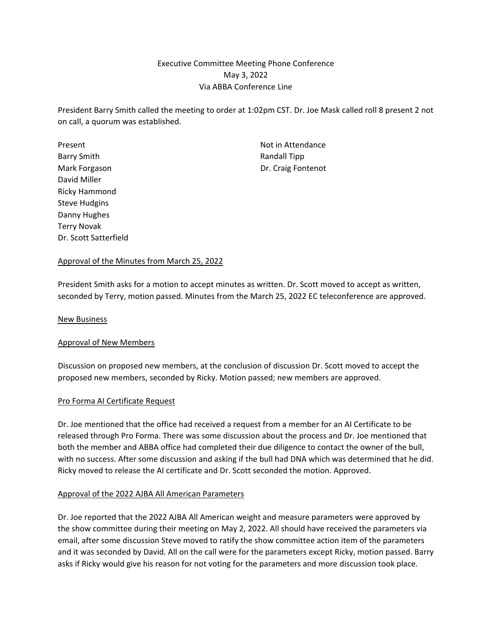# Executive Committee Meeting Phone Conference May 3, 2022 Via ABBA Conference Line

President Barry Smith called the meeting to order at 1:02pm CST. Dr. Joe Mask called roll 8 present 2 not on call, a quorum was established.

Present **Not in Attendance** Barry Smith **Randall Tipp** Mark Forgason **Dr.** Craig Fontenot David Miller Ricky Hammond Steve Hudgins Danny Hughes Terry Novak Dr. Scott Satterfield

## Approval of the Minutes from March 25, 2022

President Smith asks for a motion to accept minutes as written. Dr. Scott moved to accept as written, seconded by Terry, motion passed. Minutes from the March 25, 2022 EC teleconference are approved.

New Business

### Approval of New Members

Discussion on proposed new members, at the conclusion of discussion Dr. Scott moved to accept the proposed new members, seconded by Ricky. Motion passed; new members are approved.

### Pro Forma AI Certificate Request

Dr. Joe mentioned that the office had received a request from a member for an AI Certificate to be released through Pro Forma. There was some discussion about the process and Dr. Joe mentioned that both the member and ABBA office had completed their due diligence to contact the owner of the bull, with no success. After some discussion and asking if the bull had DNA which was determined that he did. Ricky moved to release the AI certificate and Dr. Scott seconded the motion. Approved.

### Approval of the 2022 AJBA All American Parameters

Dr. Joe reported that the 2022 AJBA All American weight and measure parameters were approved by the show committee during their meeting on May 2, 2022. All should have received the parameters via email, after some discussion Steve moved to ratify the show committee action item of the parameters and it was seconded by David. All on the call were for the parameters except Ricky, motion passed. Barry asks if Ricky would give his reason for not voting for the parameters and more discussion took place.